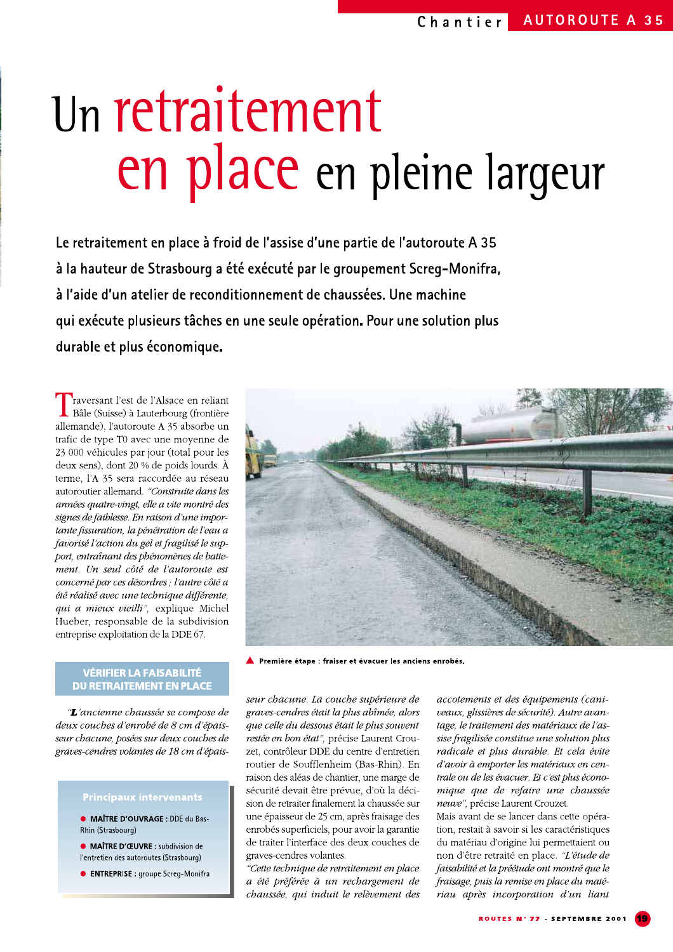# Un retraitement en place en pleine largeur

Le retraitement en place à froid de l'assise d'une partie de l'autoroute A 35 à la hauteur de Strasbourg a été exécuté par le groupement Screg-Monifra, à l'aide d'un atelier de reconditionnement de chaussées. Une machine qui exécute plusieurs tâches en une seule opération. Pour une solution plus durable et plus économique.

raversant l'est de l'Alsace en reliant Bâle (Suisse) à Lauterbourg (frontière allemande), l'autoroute A 35 absorbe un trafic de type T0 avec une moyenne de 23 000 véhicules par jour (total pour les deux sens), dont 20 % de poids lourds. À terme, l'A 35 sera raccordée au réseau autoroutier allemand. "Construite dans les années quatre-vingt, elle a vite montré des signes de faiblesse. En raison d'une importante fissuration, la pénétration de l'eau a favorisé l'action du gel et fragilisé le support, entraînant des phénomènes de battement. Un seul côté de l'autoroute est concerné par ces désordres ; l'autre côté a été réalisé avec une technique différente, qui a mieux vieilli", explique Michel Hueber, responsable de la subdivision entreprise exploitation de la DDE 67.

### VÉRIFIER LA FAISABILITÉ **DU RETRAITEMENT EN PLACE**

"L'ancienne chaussée se compose de deux couches d'enrobé de 8 cm d'épaisseur chacune, posées sur deux couches de graves-cendres volantes de 18 cm d'épais-

· MAÎTRE D'OUVRAGE : DDE du Bas-Rhin (Strasbourg)

· MAÎTRE D'ŒUVRE : subdivision de l'entretien des autoroutes (Strasbourg)

**CENTREPRISE:** groupe Screq-Monifra



Première étape : fraiser et évacuer les anciens enrobés.

seur chacune. La couche supérieure de graves-cendres était la plus abîmée, alors que celle du dessous était le plus souvent restée en bon état", précise Laurent Crouzet, contrôleur DDE du centre d'entretien routier de Soufflenheim (Bas-Rhin). En raison des aléas de chantier, une marge de sécurité devait être prévue, d'où la décision de retraiter finalement la chaussée sur une épaisseur de 25 cm, après fraisage des enrobés superficiels, pour avoir la garantie de traiter l'interface des deux couches de graves-cendres volantes.

"Cette technique de retraitement en place a été préférée à un rechargement de chaussée, qui induit le relèvement des

accotements et des équipements (caniveaux, glissières de sécurité). Autre avantage, le traitement des matériaux de l'assise fragilisée constitue une solution plus radicale et plus durable. Et cela évite d'avoir à emporter les matériaux en centrale ou de les évacuer. Et c'est plus économique que de refaire une chaussée neuve", précise Laurent Crouzet.

Mais avant de se lancer dans cette opération, restait à savoir si les caractéristiques du matériau d'origine lui permettaient ou non d'être retraité en place. "L'étude de faisabilité et la préétude ont montré que le fraisage, puis la remise en place du matériau après incorporation d'un liant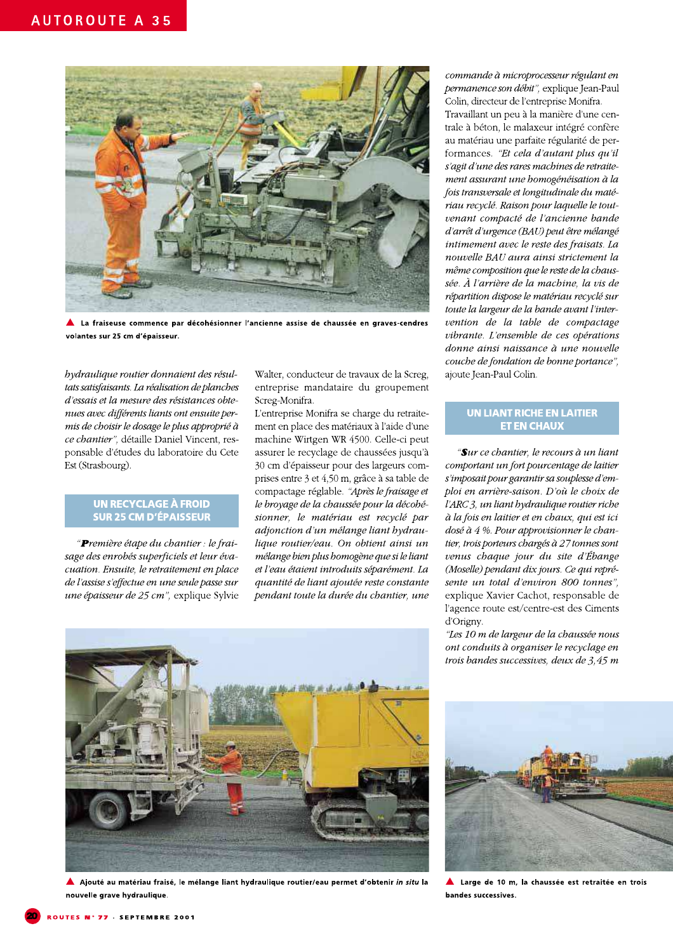

▲ La fraiseuse commence par décohésionner l'ancienne assise de chaussée en graves-cendres volantes sur 25 cm d'épaisseur.

bydraulique routier donnaient des résultats satisfaisants. La réalisation de planches d'essais et la mesure des résistances obtenues avec différents liants ont ensuite permis de choisir le dosage le plus approprié à ce chantier", détaille Daniel Vincent, responsable d'études du laboratoire du Cete Est (Strasbourg).

#### **UN RECYCLAGE À FROID SUR 25 CM D'ÉPAISSEUR**

"Première étape du chantier : le fraisage des enrobés superficiels et leur évacuation. Ensuite, le retraitement en place de l'assise s'effectue en une seule passe sur une épaisseur de 25 cm", explique Sylvie Walter, conducteur de travaux de la Screg, entreprise mandataire du groupement Screg-Monifra.

L'entreprise Monifra se charge du retraitement en place des matériaux à l'aide d'une machine Wirtgen WR 4500. Celle-ci peut assurer le recyclage de chaussées jusqu'à 30 cm d'épaisseur pour des largeurs comprises entre 3 et 4,50 m, grâce à sa table de compactage réglable. "Après le fraisage et le broyage de la chaussée pour la décohésionner, le matériau est recyclé par adjonction d'un mélange liant bydraulique routier/eau. On obtient ainsi un mélange bien plus bomogène que si le liant et l'eau étaient introduits séparément. La quantité de liant ajoutée reste constante pendant toute la durée du chantier, une

commande à microprocesseur régulant en permanence son débit", explique Jean-Paul Colin, directeur de l'entreprise Monifra.

Travaillant un peu à la manière d'une centrale à béton, le malaxeur intégré confère au matériau une parfaite régularité de performances. "Et cela d'autant plus qu'il s'agit d'une des rares machines de retraitement assurant une bomogénéisation à la fois transversale et longitudinale du matériau recyclé. Raison pour laquelle le toutvenant compacté de l'ancienne bande d'arrêt d'urgence (BAU) peut être mélangé intimement avec le reste des fraisats. La nouvelle BAU aura ainsi strictement la même composition que le reste de la chaussée. À l'arrière de la machine, la vis de répartition dispose le matériau recyclé sur toute la largeur de la bande avant l'intervention de la table de compactage vibrante. L'ensemble de ces opérations donne ainsi naissance à une nouvelle couche de fondation de bonne portance", ajoute Jean-Paul Colin.

## **UN LIANT RICHE EN LAITIER ET EN CHAUX**

"Sur ce chantier, le recours à un liant comportant un fort pourcentage de laitier s'imposait pour garantir sa souplesse d'emploi en arrière-saison. D'où le choix de l'ARC 3, un liant bydraulique routier riche à la fois en laitier et en chaux, qui est ici dosé à 4 %. Pour approvisionner le chantier, trois porteurs chargés à 27 tonnes sont venus chaque jour du site d'Ébange (Moselle) pendant dix jours. Ce qui représente un total d'environ 800 tonnes", explique Xavier Cachot, responsable de l'agence route est/centre-est des Ciments d'Origny.

"Les 10 m de largeur de la chaussée nous ont conduits à organiser le recyclage en trois bandes successives, deux de  $3,45$  m



A Ajouté au matériau fraisé, le mélange liant hydraulique routier/eau permet d'obtenir in situ la nouvelle grave hydraulique.



Large de 10 m, la chaussée est retraitée en trois bandes successives.